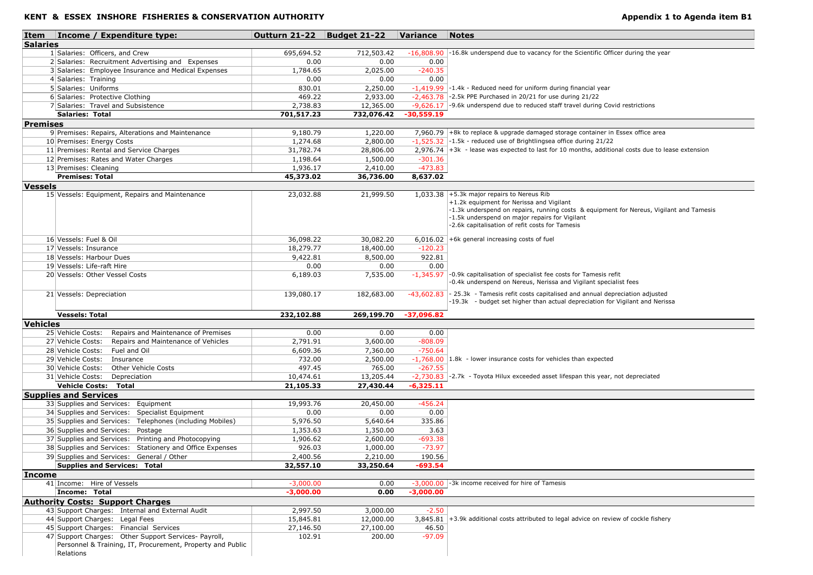## **KENT & ESSEX INSHORE FISHERIES & CONSERVATION AUTHORITY**

| Income / Expenditure type:<br>Item                                      | Outturn 21-22 Budget 21-22 |            | <b>Variance</b> | Notes                                                                                                                                                                                                                                  |
|-------------------------------------------------------------------------|----------------------------|------------|-----------------|----------------------------------------------------------------------------------------------------------------------------------------------------------------------------------------------------------------------------------------|
| <b>Salaries</b>                                                         |                            |            |                 |                                                                                                                                                                                                                                        |
| 1 Salaries: Officers, and Crew                                          | 695,694.52                 | 712,503.42 |                 | -16,808.90 -16.8k underspend due to vacancy for the Scientific Officer during the year                                                                                                                                                 |
| 2 Salaries: Recruitment Advertising and Expenses                        | 0.00                       | 0.00       | 0.00            |                                                                                                                                                                                                                                        |
| 3 Salaries: Employee Insurance and Medical Expenses                     | 1,784.65                   | 2,025.00   | $-240.35$       |                                                                                                                                                                                                                                        |
| 4 Salaries: Training                                                    | 0.00                       | 0.00       | 0.00            |                                                                                                                                                                                                                                        |
| 5 Salaries: Uniforms                                                    | 830.01                     | 2,250.00   |                 | $-1,419.99$ $-1.4k$ - Reduced need for uniform during financial year                                                                                                                                                                   |
| 6 Salaries: Protective Clothing                                         | 469.22                     | 2,933.00   |                 | $-2,463.78$ -2.5k PPE Purchased in 20/21 for use during 21/22                                                                                                                                                                          |
| 7 Salaries: Travel and Subsistence                                      | 2,738.83                   | 12,365.00  |                 | $-9.626.17$ $-9.6k$ underspend due to reduced staff travel during Covid restrictions                                                                                                                                                   |
| <b>Salaries: Total</b>                                                  | 701,517.23                 | 732,076.42 | -30,559.19      |                                                                                                                                                                                                                                        |
| Premises                                                                |                            |            |                 |                                                                                                                                                                                                                                        |
| 9 Premises: Repairs, Alterations and Maintenance                        | 9,180.79                   | 1,220.00   |                 | 7,960.79 +8k to replace & upgrade damaged storage container in Essex office area                                                                                                                                                       |
| 10 Premises: Energy Costs                                               | 1,274.68                   | 2,800.00   |                 | $-1,525.32$ $-1.5k$ - reduced use of Brightlingsea office during 21/22                                                                                                                                                                 |
| 11 Premises: Rental and Service Charges                                 | 31,782.74                  | 28,806.00  |                 | $2,976.74$ +3k - lease was expected to last for 10 months, additional costs due to lease extension                                                                                                                                     |
| 12 Premises: Rates and Water Charges                                    | 1,198.64                   | 1,500.00   | $-301.36$       |                                                                                                                                                                                                                                        |
|                                                                         |                            |            |                 |                                                                                                                                                                                                                                        |
| 13 Premises: Cleaning                                                   | 1,936.17                   | 2,410.00   | $-473.83$       |                                                                                                                                                                                                                                        |
| <b>Premises: Total</b>                                                  | 45,373.02                  | 36,736.00  | 8,637.02        |                                                                                                                                                                                                                                        |
| Vessels                                                                 |                            |            |                 |                                                                                                                                                                                                                                        |
| 15 Vessels: Equipment, Repairs and Maintenance                          | 23,032.88                  | 21,999.50  |                 | 1,033.38 $ +5.3k$ major repairs to Nereus Rib<br>+1.2k equipment for Nerissa and Vigilant<br>-1.3k underspend on repairs, running costs & equipment for Nereus, Vigilant and Tamesis<br>-1.5k underspend on major repairs for Vigilant |
|                                                                         |                            |            |                 | -2.6k capitalisation of refit costs for Tamesis                                                                                                                                                                                        |
| 16 Vessels: Fuel & Oil                                                  | 36,098.22                  | 30,082.20  |                 | $6,016.02$ +6k general increasing costs of fuel                                                                                                                                                                                        |
| 17 Vessels: Insurance                                                   | 18,279.77                  | 18,400.00  | $-120.23$       |                                                                                                                                                                                                                                        |
| 18 Vessels: Harbour Dues                                                | 9,422.81                   | 8,500.00   | 922.81          |                                                                                                                                                                                                                                        |
| 19 Vessels: Life-raft Hire                                              | 0.00                       | 0.00       | 0.00            |                                                                                                                                                                                                                                        |
| 20 Vessels: Other Vessel Costs                                          | 6,189.03                   | 7,535.00   | $-1,345.97$     | -0.9k capitalisation of specialist fee costs for Tamesis refit<br>-0.4k underspend on Nereus, Nerissa and Vigilant specialist fees                                                                                                     |
| 21 Vessels: Depreciation                                                | 139,080.17                 | 182,683.00 | $-43,602.83$    | - 25.3k - Tamesis refit costs capitalised and annual depreciation adjusted<br>-19.3k - budget set higher than actual depreciation for Vigilant and Nerissa                                                                             |
| <b>Vessels: Total</b>                                                   | 232,102.88                 | 269,199.70 | $-37,096.82$    |                                                                                                                                                                                                                                        |
| <b>Vehicles</b>                                                         |                            |            |                 |                                                                                                                                                                                                                                        |
| Repairs and Maintenance of Premises<br>25 Vehicle Costs:                | 0.00                       | 0.00       | 0.00            |                                                                                                                                                                                                                                        |
| 27 Vehicle Costs:<br>Repairs and Maintenance of Vehicles                | 2,791.91                   | 3,600.00   | $-808.09$       |                                                                                                                                                                                                                                        |
| 28 Vehicle Costs: Fuel and Oil                                          | 6,609.36                   | 7,360.00   | $-750.64$       |                                                                                                                                                                                                                                        |
| 29 Vehicle Costs: Insurance                                             | 732.00                     | 2,500.00   |                 | $-1,768.00$   1.8k - lower insurance costs for vehicles than expected                                                                                                                                                                  |
| 30 Vehicle Costs: Other Vehicle Costs                                   | 497.45                     | 765.00     | $-267.55$       |                                                                                                                                                                                                                                        |
| 31 Vehicle Costs: Depreciation                                          | 10,474.61                  | 13,205.44  |                 | $-2,730.83$ $-2.7k$ - Toyota Hilux exceeded asset lifespan this year, not depreciated                                                                                                                                                  |
| <b>Vehicle Costs: Total</b>                                             | 21,105.33                  | 27,430.44  | $-6,325.11$     |                                                                                                                                                                                                                                        |
|                                                                         |                            |            |                 |                                                                                                                                                                                                                                        |
| <b>Supplies and Services</b>                                            |                            |            |                 |                                                                                                                                                                                                                                        |
| 33 Supplies and Services: Equipment                                     | 19,993.76                  | 20,450.00  | $-456.24$       |                                                                                                                                                                                                                                        |
| 34 Supplies and Services: Specialist Equipment                          | 0.00                       | 0.00       | 0.00            |                                                                                                                                                                                                                                        |
| 35 Supplies and Services: Telephones (including Mobiles)                | 5,976.50                   | 5,640.64   | 335.86          |                                                                                                                                                                                                                                        |
| 36 Supplies and Services: Postage                                       | 1,353.63                   | 1,350.00   | 3.63            |                                                                                                                                                                                                                                        |
| 37 Supplies and Services: Printing and Photocopying                     | 1,906.62                   | 2,600.00   | $-693.38$       |                                                                                                                                                                                                                                        |
| 38 Supplies and Services: Stationery and Office Expenses                | 926.03                     | 1,000.00   | $-73.97$        |                                                                                                                                                                                                                                        |
| 39 Supplies and Services: General / Other                               | 2,400.56                   | 2,210.00   | 190.56          |                                                                                                                                                                                                                                        |
| Supplies and Services: Total                                            | 32,557.10                  | 33,250.64  | $-693.54$       |                                                                                                                                                                                                                                        |
| Income                                                                  |                            |            |                 |                                                                                                                                                                                                                                        |
| 41 Income: Hire of Vessels                                              | $-3.000.00$                | 0.00       |                 | -3,000.00 -3k income received for hire of Tamesis                                                                                                                                                                                      |
| Income: Total                                                           | $-3,000.00$                | 0.00       | $-3,000.00$     |                                                                                                                                                                                                                                        |
| <b>Authority Costs: Support Charges</b>                                 |                            |            |                 |                                                                                                                                                                                                                                        |
| 43 Support Charges: Internal and External Audit                         | 2,997.50                   | 3,000.00   | $-2.50$         |                                                                                                                                                                                                                                        |
| 44 Support Charges: Legal Fees                                          | 15,845.81                  | 12,000.00  |                 | 3,845.81  +3.9k additional costs attributed to legal advice on review of cockle fishery                                                                                                                                                |
| 45 Support Charges: Financial Services                                  | 27,146.50                  | 27,100.00  | 46.50           |                                                                                                                                                                                                                                        |
| 47 Support Charges: Other Support Services- Payroll,                    | 102.91                     | 200.00     | $-97.09$        |                                                                                                                                                                                                                                        |
| Personnel & Training, IT, Procurement, Property and Public<br>Relations |                            |            |                 |                                                                                                                                                                                                                                        |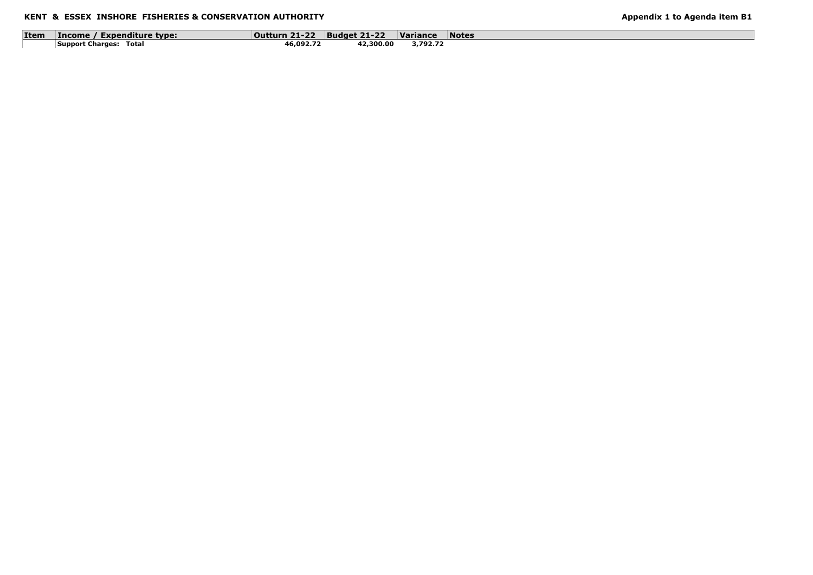| <b>Item</b> | Expenditure type:<br>Income      | Outturn 21-22 | <b>Budget 21-22</b> | Variance | <b>Notes</b> |
|-------------|----------------------------------|---------------|---------------------|----------|--------------|
|             | Total<br><b>Support Charges:</b> | 46,092.72     | 42,300.00           | 3,792,72 |              |